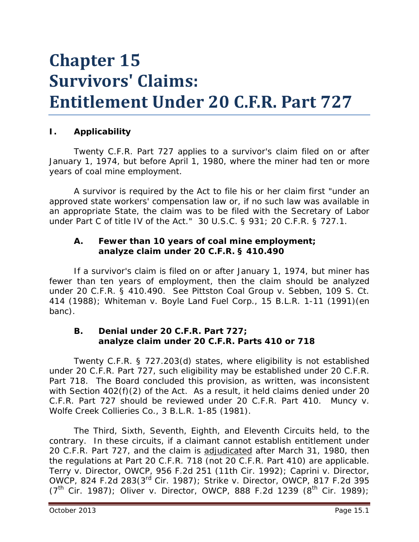# **Chapter 15 Survivors' Claims: Entitlement Under 20 C.F.R. Part 727**

# **I. Applicability**

Twenty C.F.R. Part 727 applies to a survivor's claim filed on or after January 1, 1974, but before April 1, 1980, where the miner had ten or more years of coal mine employment.

A survivor is required by the Act to file his or her claim first "under an approved state workers' compensation law or, if no such law was available in an appropriate State, the claim was to be filed with the Secretary of Labor under Part C of title IV of the Act." 30 U.S.C. § 931; 20 C.F.R. § 727.1.

#### **A. Fewer than 10 years of coal mine employment; analyze claim under 20 C.F.R. § 410.490**

If a survivor's claim is filed on or after January 1, 1974, but miner has fewer than ten years of employment, then the claim should be analyzed under 20 C.F.R. § 410.490. *See Pittston Coal Group v. Sebben*, 109 S. Ct. 414 (1988); *Whiteman v. Boyle Land Fuel Corp.*, 15 B.L.R. 1-11 (1991)(*en ban*c).

#### **B. Denial under 20 C.F.R. Part 727; analyze claim under 20 C.F.R. Parts 410 or 718**

Twenty C.F.R. § 727.203(d) states, where eligibility is not established under 20 C.F.R. Part 727, such eligibility may be established under 20 C.F.R. Part 718. The Board concluded this provision, as written, was inconsistent with Section 402(f)(2) of the Act. As a result, it held claims denied under 20 C.F.R. Part 727 should be reviewed under 20 C.F.R. Part 410. *Muncy v. Wolfe Creek Collieries Co.*, 3 B.L.R. 1-85 (1981).

The Third, Sixth, Seventh, Eighth, and Eleventh Circuits held, to the contrary. In these circuits, if a claimant cannot establish entitlement under 20 C.F.R. Part 727, and the claim is adjudicated after March 31, 1980, then the regulations at Part 20 C.F.R. 718 (not 20 C.F.R. Part 410) are applicable. *Terry v. Director, OWCP*, 956 F.2d 251 (11th Cir. 1992); *Caprini v. Director, OWCP*, 824 F.2d 283(3rd Cir. 1987); *Strike v. Director, OWCP*, 817 F.2d 395  $(7<sup>th</sup>$  Cir. 1987); *Oliver v. Director, OWCP*, 888 F.2d 1239 (8<sup>th</sup> Cir. 1989);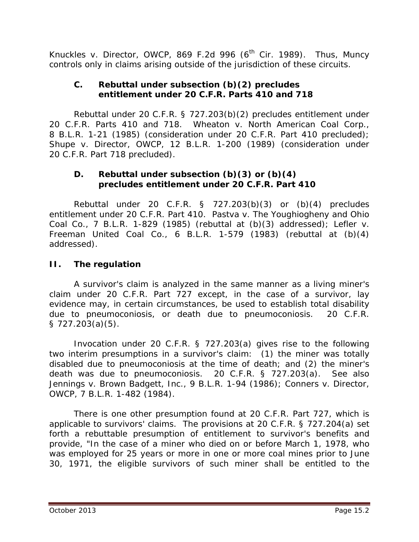*Knuckles v. Director, OWCP*, 869 F.2d 996 (6th Cir. 1989). Thus, *Muncy* controls only in claims arising outside of the jurisdiction of these circuits.

#### **C. Rebuttal under subsection (b)(2) precludes entitlement under 20 C.F.R. Parts 410 and 718**

Rebuttal under 20 C.F.R. § 727.203(b)(2) precludes entitlement under 20 C.F.R. Parts 410 and 718. *Wheaton v. North American Coal Corp.*, 8 B.L.R. 1-21 (1985) (consideration under 20 C.F.R. Part 410 precluded); *Shupe v. Director, OWCP*, 12 B.L.R. 1-200 (1989) (consideration under 20 C.F.R. Part 718 precluded).

#### **D. Rebuttal under subsection (b)(3) or (b)(4) precludes entitlement under 20 C.F.R. Part 410**

Rebuttal under 20 C.F.R. § 727.203(b)(3) or (b)(4) precludes entitlement under 20 C.F.R. Part 410. *Pastva v. The Youghiogheny and Ohio Coal Co.*, 7 B.L.R. 1-829 (1985) (rebuttal at (b)(3) addressed); *Lefler v. Freeman United Coal Co.*, 6 B.L.R. 1-579 (1983) (rebuttal at (b)(4) addressed).

### **II. The regulation**

A survivor's claim is analyzed in the same manner as a living miner's claim under 20 C.F.R. Part 727 except, in the case of a survivor, lay evidence may, in certain circumstances, be used to establish total disability due to pneumoconiosis, or death due to pneumoconiosis. 20 C.F.R. § 727.203(a)(5).

Invocation under 20 C.F.R. § 727.203(a) gives rise to the following two interim presumptions in a survivor's claim: (1) the miner was totally disabled due to pneumoconiosis at the time of death; and (2) the miner's death was due to pneumoconiosis. 20 C.F.R. § 727.203(a). See *also Jennings v. Brown Badgett, Inc.*, 9 B.L.R. 1-94 (1986); *Conners v. Director, OWCP*, 7 B.L.R. 1-482 (1984).

There is one other presumption found at 20 C.F.R. Part 727, which is applicable to survivors' claims. The provisions at 20 C.F.R. § 727.204(a) set forth a rebuttable presumption of entitlement to survivor's benefits and provide, "In the case of a miner who died on or before March 1, 1978, who was employed for 25 years or more in one or more coal mines prior to June 30, 1971, the eligible survivors of such miner shall be entitled to the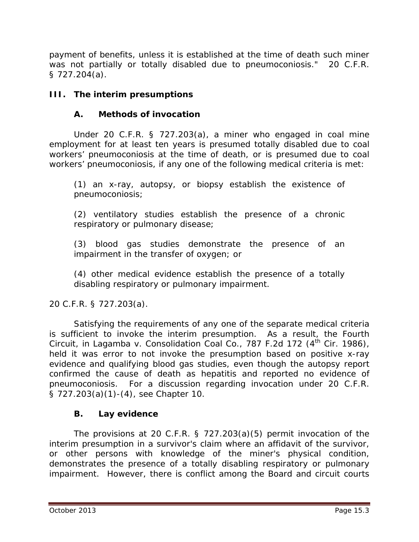payment of benefits, unless it is established at the time of death such miner was not partially or totally disabled due to pneumoconiosis." 20 C.F.R. § 727.204(a).

# **III. The interim presumptions**

#### **A. Methods of invocation**

Under 20 C.F.R. § 727.203(a), a miner who engaged in coal mine employment for at least ten years is presumed totally disabled due to coal workers' pneumoconiosis at the time of death, or is presumed due to coal workers' pneumoconiosis, if any one of the following medical criteria is met:

(1) an x-ray, autopsy, or biopsy establish the existence of pneumoconiosis;

(2) ventilatory studies establish the presence of a chronic respiratory or pulmonary disease;

(3) blood gas studies demonstrate the presence of an impairment in the transfer of oxygen; or

(4) other medical evidence establish the presence of a totally disabling respiratory or pulmonary impairment.

#### 20 C.F.R. § 727.203(a).

Satisfying the requirements of any one of the separate medical criteria is sufficient to invoke the interim presumption. As a result, the Fourth Circuit, in *Lagamba v. Consolidation Coal Co.*, 787 F.2d 172 (4<sup>th</sup> Cir. 1986), held it was error to not invoke the presumption based on positive x-ray evidence and qualifying blood gas studies, even though the autopsy report confirmed the cause of death as hepatitis and reported no evidence of pneumoconiosis. For a discussion regarding invocation under 20 C.F.R. § 727.203(a)(1)-(4), *see* Chapter 10.

#### **B. Lay evidence**

The provisions at 20 C.F.R. § 727.203(a)(5) permit invocation of the interim presumption in a survivor's claim where an affidavit of the survivor, or other persons with knowledge of the miner's physical condition, demonstrates the presence of a totally disabling respiratory or pulmonary impairment. However, there is conflict among the Board and circuit courts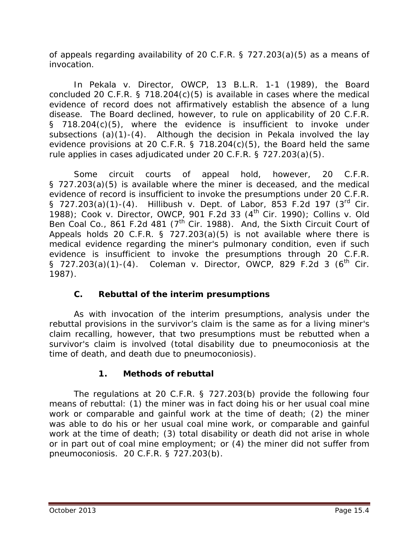of appeals regarding availability of 20 C.F.R. § 727.203(a)(5) as a means of invocation.

In *Pekala v. Director, OWCP*, 13 B.L.R. 1-1 (1989), the Board concluded 20 C.F.R. § 718.204(c)(5) is available in cases where the medical evidence of record does not *affirmatively establish* the absence of a lung disease. The Board declined, however, to rule on applicability of 20 C.F.R. § 718.204(c)(5), where the evidence is *insufficient to invoke* under subsections (a)(1)-(4). Although the decision in *Pekala* involved the lay evidence provisions at 20 C.F.R. § 718.204(c)(5), the Board held the same rule applies in cases adjudicated under 20 C.F.R. § 727.203(a)(5).

Some circuit courts of appeal hold, however, 20 C.F.R. § 727.203(a)(5) is available where the miner is deceased, and the medical evidence of record is *insufficient to invoke* the presumptions under 20 C.F.R. § 727.203(a)(1)-(4). *Hillibush v. Dept. of Labor*, 853 F.2d 197 (3rd Cir. 1988); *Cook v. Director, OWCP*, 901 F.2d 33 (4th Cir. 1990); *Collins v. Old Ben Coal Co.*, 861 F.2d 481 (7<sup>th</sup> Cir. 1988). And, the Sixth Circuit Court of Appeals holds 20 C.F.R. § 727.203(a)(5) is not available where there is medical evidence regarding the miner's pulmonary condition, even if such evidence is insufficient to invoke the presumptions through 20 C.F.R. § 727.203(a)(1)-(4). *Coleman v. Director, OWCP*, 829 F.2d 3 (6<sup>th</sup> Cir. 1987).

# **C. Rebuttal of the interim presumptions**

As with invocation of the interim presumptions, analysis under the rebuttal provisions in the survivor's claim is the same as for a living miner's claim recalling, however, that two presumptions must be rebutted when a survivor's claim is involved (total disability due to pneumoconiosis at the time of death, and death due to pneumoconiosis).

# **1. Methods of rebuttal**

The regulations at 20 C.F.R. § 727.203(b) provide the following four means of rebuttal: (1) the miner was in fact doing his or her usual coal mine work or comparable and gainful work at the time of death; (2) the miner was able to do his or her usual coal mine work, or comparable and gainful work at the time of death; (3) total disability or death did not arise in whole or in part out of coal mine employment; or (4) the miner did not suffer from pneumoconiosis. 20 C.F.R. § 727.203(b).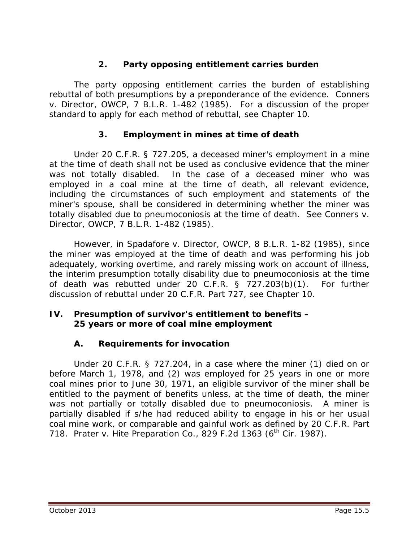# **2. Party opposing entitlement carries burden**

The party opposing entitlement carries the burden of establishing rebuttal of both presumptions by a preponderance of the evidence. *Conners v. Director, OWCP*, 7 B.L.R. 1-482 (1985). For a discussion of the proper standard to apply for each method of rebuttal, *see* Chapter 10.

# **3. Employment in mines at time of death**

Under 20 C.F.R. § 727.205, a deceased miner's employment in a mine at the time of death *shall not* be used as conclusive evidence that the miner was not totally disabled. In the case of a deceased miner who was employed in a coal mine at the time of death, all relevant evidence, including the circumstances of such employment and statements of the miner's spouse, shall be considered in determining whether the miner was totally disabled due to pneumoconiosis at the time of death. *See Conners v. Director, OWCP*, 7 B.L.R. 1-482 (1985).

However, in *Spadafore v. Director, OWCP*, 8 B.L.R. 1-82 (1985), since the miner was employed at the time of death and was performing his job adequately, working overtime, and rarely missing work on account of illness, the interim presumption totally disability due to pneumoconiosis at the time of death was rebutted under 20 C.F.R. § 727.203(b)(1). For further discussion of rebuttal under 20 C.F.R. Part 727, *see* Chapter 10.

#### **IV. Presumption of survivor's entitlement to benefits – 25 years or more of coal mine employment**

# **A. Requirements for invocation**

Under 20 C.F.R. § 727.204, in a case where the miner (1) died on or before March 1, 1978, and (2) was employed for 25 years in one or more coal mines prior to June 30, 1971, an eligible survivor of the miner shall be entitled to the payment of benefits unless, at the time of death, the miner was not partially or totally disabled due to pneumoconiosis. A miner is partially disabled if s/he had reduced ability to engage in his or her usual coal mine work, or comparable and gainful work as defined by 20 C.F.R. Part 718. *Prater v. Hite Preparation Co.*, 829 F.2d 1363 (6<sup>th</sup> Cir. 1987).